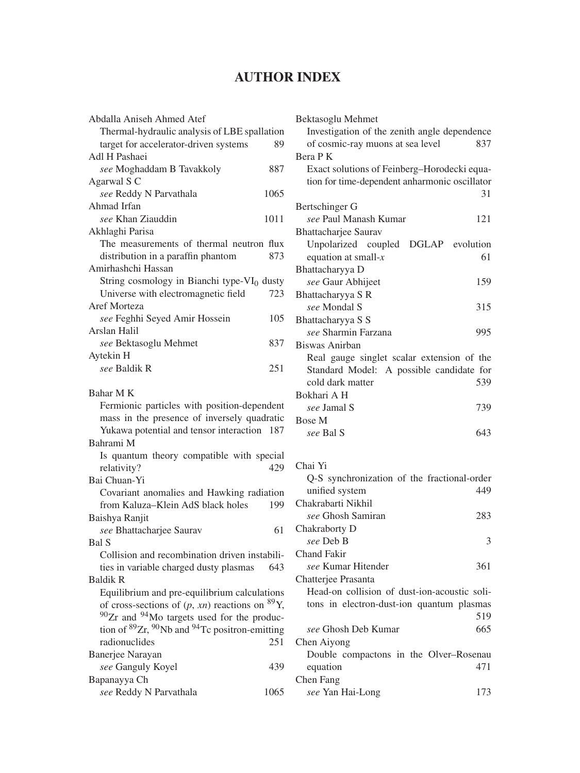## **AUTHOR INDEX**

| Thermal-hydraulic analysis of LBE spallation                                               |      |
|--------------------------------------------------------------------------------------------|------|
| target for accelerator-driven systems                                                      | 89   |
| Adl H Pashaei                                                                              |      |
| see Moghaddam B Tavakkoly                                                                  | 887  |
| Agarwal S C<br>see Reddy N Parvathala                                                      | 1065 |
| Ahmad Irfan                                                                                |      |
| see Khan Ziauddin                                                                          | 1011 |
| Akhlaghi Parisa                                                                            |      |
| The measurements of thermal neutron flux                                                   |      |
| distribution in a paraffin phantom                                                         | 873  |
| Amirhashchi Hassan                                                                         |      |
| String cosmology in Bianchi type-VI <sub>0</sub> dusty                                     |      |
| Universe with electromagnetic field                                                        | 723  |
| Aref Morteza                                                                               |      |
| see Feghhi Seyed Amir Hossein                                                              | 105  |
| Arslan Halil                                                                               |      |
| see Bektasoglu Mehmet                                                                      | 837  |
| Aytekin H                                                                                  |      |
| see Baldik R                                                                               | 251  |
|                                                                                            |      |
| Bahar M K                                                                                  |      |
| Fermionic particles with position-dependent<br>mass in the presence of inversely quadratic |      |
| Yukawa potential and tensor interaction                                                    | 187  |
| Bahrami M                                                                                  |      |
| Is quantum theory compatible with special                                                  |      |
| relativity?                                                                                |      |
|                                                                                            |      |
|                                                                                            | 429  |
| Bai Chuan-Yi                                                                               |      |
| Covariant anomalies and Hawking radiation                                                  | 199  |
| from Kaluza-Klein AdS black holes                                                          |      |
| Baishya Ranjit                                                                             | 61   |
| see Bhattacharjee Saurav<br>Bal S                                                          |      |
| Collision and recombination driven instabili-                                              |      |
| ties in variable charged dusty plasmas                                                     | 643  |
| <b>Baldik R</b>                                                                            |      |
| Equilibrium and pre-equilibrium calculations                                               |      |
| of cross-sections of $(p, xn)$ reactions on <sup>89</sup> Y,                               |      |
| 90Zr and <sup>94</sup> Mo targets used for the produc-                                     |      |
| tion of ${}^{89}Zr$ , ${}^{90}Nb$ and ${}^{94}Te$ positron-emitting                        |      |
| radionuclides                                                                              | 251  |
| Banerjee Narayan                                                                           |      |
| see Ganguly Koyel                                                                          | 439  |
| Bapanayya Ch<br>see Reddy N Parvathala                                                     | 1065 |

| Bektasoglu Mehmet                             |  |
|-----------------------------------------------|--|
| Investigation of the zenith angle dependence  |  |
| of cosmic-ray muons at sea level<br>837       |  |
| Bera P K                                      |  |
| Exact solutions of Feinberg-Horodecki equa-   |  |
| tion for time-dependent anharmonic oscillator |  |
| 31                                            |  |
| Bertschinger G                                |  |
| see Paul Manash Kumar<br>121                  |  |
| Bhattacharjee Saurav                          |  |
| DGLAP evolution<br>Unpolarized coupled        |  |
| 61<br>equation at small- $x$                  |  |
| Bhattacharyya D                               |  |
| see Gaur Abhijeet<br>159                      |  |
| Bhattacharyya S R                             |  |
| see Mondal S<br>315                           |  |
| Bhattacharyya S S                             |  |
| see Sharmin Farzana<br>995                    |  |
| Biswas Anirban                                |  |
| Real gauge singlet scalar extension of the    |  |
| Standard Model: A possible candidate for      |  |
| cold dark matter<br>539                       |  |
| Bokhari A H                                   |  |
| see Jamal S<br>739                            |  |
| <b>Bose M</b>                                 |  |
| see Bal S<br>643                              |  |
|                                               |  |
|                                               |  |

## Chai Yi

| Q-S synchronization of the fractional-order  |   |
|----------------------------------------------|---|
| unified system<br>449                        |   |
| Chakrabarti Nikhil                           |   |
| see Ghosh Samiran<br>283                     |   |
| Chakraborty D                                |   |
| see Deb B                                    | 3 |
| Chand Fakir                                  |   |
| see Kumar Hitender<br>361                    |   |
| Chatterjee Prasanta                          |   |
| Head-on collision of dust-ion-acoustic soli- |   |
| tons in electron-dust-ion quantum plasmas    |   |
| 519                                          |   |
| 665<br>see Ghosh Deb Kumar                   |   |
| Chen Aiyong                                  |   |
| Double compactons in the Olver-Rosenau       |   |
| 471<br>equation                              |   |
| Chen Fang                                    |   |
| see Yan Hai-Long<br>173                      |   |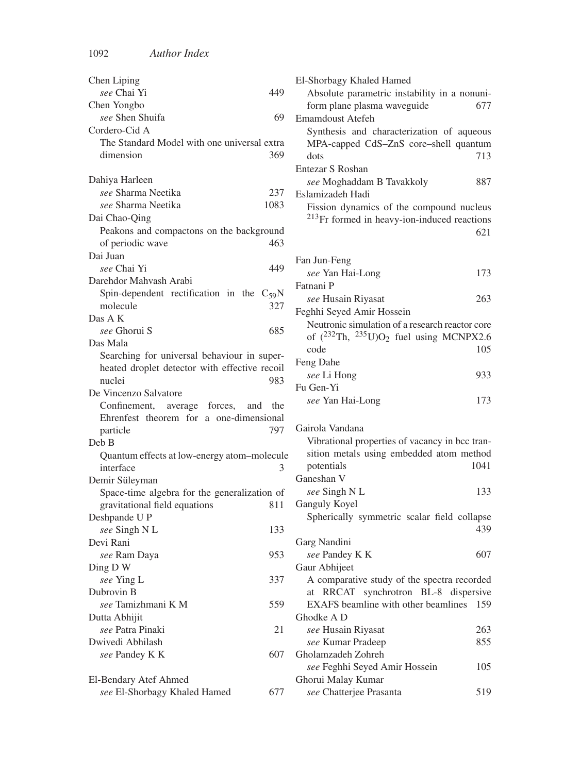| Chen Liping                                   |      |
|-----------------------------------------------|------|
| see Chai Yi                                   | 449  |
| Chen Yongbo                                   |      |
| see Shen Shuifa                               | 69   |
| Cordero-Cid A                                 |      |
| The Standard Model with one universal extra   |      |
| dimension                                     | 369  |
|                                               |      |
| Dahiya Harleen                                |      |
| see Sharma Neetika                            | 237  |
| see Sharma Neetika                            | 1083 |
| Dai Chao-Qing                                 |      |
| Peakons and compactons on the background      |      |
| of periodic wave                              | 463  |
| Dai Juan                                      |      |
| see Chai Yi                                   | 449  |
| Darehdor Mahyash Arabi                        |      |
| Spin-dependent rectification in the $C_{59}N$ |      |
| molecule                                      | 327  |
| Das A K                                       |      |
| see Ghorui S                                  | 685  |
| Das Mala                                      |      |
| Searching for universal behaviour in super-   |      |
| heated droplet detector with effective recoil |      |
| nuclei                                        | 983  |
| De Vincenzo Salvatore                         |      |
| Confinement, average forces, and              | the  |
| Ehrenfest theorem for a one-dimensional       |      |
| particle                                      | 797  |
| Deb B                                         |      |
| Quantum effects at low-energy atom-molecule   |      |
| interface                                     | 3    |
| Demir Süleyman                                |      |
| Space-time algebra for the generalization of  |      |
| gravitational field equations                 | 811  |
| Deshpande U P                                 |      |
| see Singh N L                                 | 133  |
| Devi Rani                                     |      |
| see Ram Daya                                  | 953  |
| Ding D W                                      |      |
| see Ying L                                    | 337  |
| Dubrovin B                                    |      |
| see Tamizhmani K M                            | 559  |
| Dutta Abhijit                                 |      |
| see Patra Pinaki                              | 21   |
| Dwivedi Abhilash                              |      |
| see Pandey K K                                | 607  |
|                                               |      |
| El-Bendary Atef Ahmed                         |      |
| see El-Shorbagy Khaled Hamed                  | 677  |

|                  | El-Shorbagy Khaled Hamed                           |      |
|------------------|----------------------------------------------------|------|
| 449              | Absolute parametric instability in a nonuni-       |      |
|                  | form plane plasma waveguide                        | 677  |
| 69               | Emamdoust Atefeh                                   |      |
|                  | Synthesis and characterization of aqueous          |      |
| ıl extra         | MPA-capped CdS-ZnS core-shell quantum              |      |
| 369              | dots                                               | 713  |
|                  | Entezar S Roshan                                   |      |
|                  | see Moghaddam B Tavakkoly                          |      |
| 237              | Eslamizadeh Hadi                                   | 887  |
| 1083             |                                                    |      |
|                  | Fission dynamics of the compound nucleus           |      |
| ground           | $^{213}$ Fr formed in heavy-ion-induced reactions  |      |
| 463              |                                                    | 621  |
|                  |                                                    |      |
| 449              | Fan Jun-Feng                                       |      |
|                  | see Yan Hai-Long                                   | 173  |
|                  | Fatnani P                                          |      |
| $C_{59}N$<br>327 | see Husain Riyasat                                 | 263  |
|                  | Feghhi Seyed Amir Hossein                          |      |
| 685              | Neutronic simulation of a research reactor core    |      |
|                  | of $(^{232}Th$ , $^{235}U)O_2$ fuel using MCNPX2.6 |      |
| super-           | code                                               | 105  |
| recoil           | Feng Dahe                                          |      |
| 983              | see Li Hong                                        | 933  |
|                  | Fu Gen-Yi                                          |      |
| d<br>the         | see Yan Hai-Long                                   | 173  |
| nsional          |                                                    |      |
| 797              | Gairola Vandana                                    |      |
|                  | Vibrational properties of vacancy in bcc tran-     |      |
| olecule          | sition metals using embedded atom method           |      |
| 3                | potentials                                         | 1041 |
|                  | Ganeshan V                                         |      |
| tion of          | see Singh N L                                      | 133  |
| 811              | Ganguly Koyel                                      |      |
|                  | Spherically symmetric scalar field collapse        |      |
| 133              |                                                    | 439  |
|                  | Garg Nandini                                       |      |
| 953              | see Pandey K K                                     | 607  |
|                  | Gaur Abhijeet                                      |      |
| 337              | A comparative study of the spectra recorded        |      |
|                  | at RRCAT synchrotron BL-8 dispersive               |      |
| 559              | EXAFS beamline with other beamlines                | 159  |
|                  | Ghodke A D                                         |      |
| 21               | see Husain Riyasat                                 | 263  |
|                  | see Kumar Pradeep                                  | 855  |
| 607              | Gholamzadeh Zohreh                                 |      |
|                  | see Feghhi Seyed Amir Hossein                      | 105  |
|                  | Ghorui Malay Kumar                                 |      |
| 677              | see Chatterjee Prasanta                            | 519  |
|                  |                                                    |      |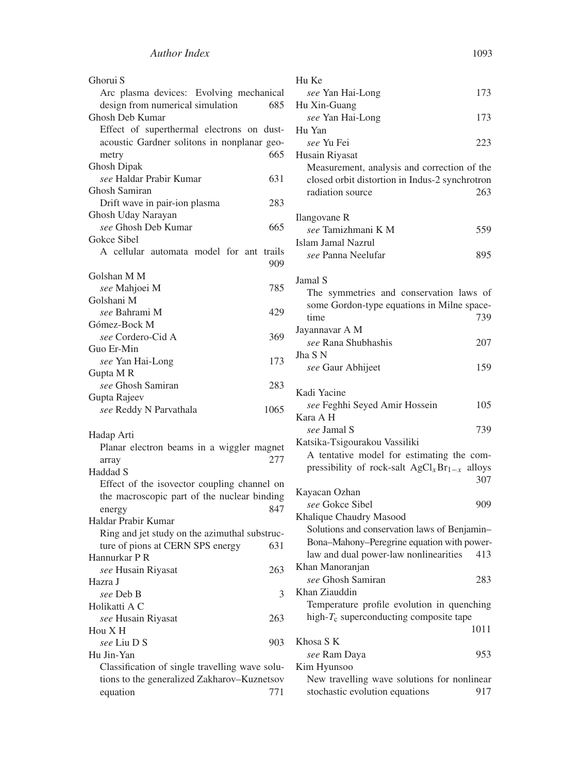| Ghorui S                                       |   |
|------------------------------------------------|---|
| Arc plasma devices: Evolving mechanical        |   |
| design from numerical simulation<br>685        |   |
| Ghosh Deb Kumar                                |   |
| Effect of superthermal electrons on dust-      |   |
| acoustic Gardner solitons in nonplanar geo-    |   |
| 665<br>metry                                   |   |
| Ghosh Dipak                                    |   |
| see Haldar Prabir Kumar<br>631                 |   |
| Ghosh Samiran                                  |   |
| Drift wave in pair-ion plasma<br>283           |   |
| Ghosh Uday Narayan                             |   |
| see Ghosh Deb Kumar<br>665                     |   |
| Gokce Sibel                                    |   |
| A cellular automata model for ant<br>trails    |   |
| 909                                            |   |
| Golshan M M                                    |   |
| see Mahjoei M<br>785                           |   |
| Golshani M                                     |   |
| see Bahrami M<br>429                           |   |
| Gómez-Bock M                                   |   |
| see Cordero-Cid A<br>369                       |   |
| Guo Er-Min                                     |   |
| see Yan Hai-Long<br>173                        |   |
| Gupta MR                                       |   |
| see Ghosh Samiran<br>283                       |   |
| Gupta Rajeev                                   |   |
| 1065<br>see Reddy N Parvathala                 |   |
|                                                |   |
| Hadap Arti                                     |   |
| Planar electron beams in a wiggler magnet      |   |
| 277<br>array                                   |   |
| Haddad S                                       |   |
| Effect of the isovector coupling channel on    |   |
| the macroscopic part of the nuclear binding    |   |
| 847<br>energy                                  |   |
| Haldar Prabir Kumar                            |   |
| Ring and jet study on the azimuthal substruc-  |   |
| ture of pions at CERN SPS energy<br>631        |   |
| Hannurkar P R                                  |   |
| see Husain Riyasat<br>263                      |   |
| Hazra J                                        |   |
| see Deb B                                      | 3 |
| Holikatti A C                                  |   |
| see Husain Riyasat<br>263                      |   |
| Hou X H                                        |   |
| see Liu D S<br>903                             |   |
| Hu Jin-Yan                                     |   |
| Classification of single travelling wave solu- |   |
| tions to the generalized Zakharov-Kuznetsov    |   |
| 771<br>equation                                |   |

| Hu Ke                                             |      |
|---------------------------------------------------|------|
| see Yan Hai-Long                                  | 173  |
| Hu Xin-Guang                                      |      |
| see Yan Hai-Long                                  | 173  |
| Hu Yan                                            |      |
| see Yu Fei                                        | 223  |
| Husain Riyasat                                    |      |
| Measurement, analysis and correction of the       |      |
| closed orbit distortion in Indus-2 synchrotron    |      |
| radiation source                                  | 263  |
|                                                   |      |
| Ilangovane R                                      |      |
| see Tamizhmani K M                                | 559  |
| <b>Islam Jamal Nazrul</b>                         |      |
| see Panna Neelufar                                | 895  |
|                                                   |      |
| Jamal S                                           |      |
| The symmetries and conservation laws of           |      |
| some Gordon-type equations in Milne space-        |      |
| time                                              | 739  |
| Jayannavar A M                                    |      |
| see Rana Shubhashis                               | 207  |
| Jha S N                                           |      |
| see Gaur Abhijeet                                 | 159  |
| Kadi Yacine                                       |      |
| see Feghhi Seyed Amir Hossein                     | 105  |
| Kara A H                                          |      |
| <i>see</i> Jamal S                                | 739  |
| Katsika-Tsigourakou Vassiliki                     |      |
| A tentative model for estimating the com-         |      |
| pressibility of rock-salt $AgCl_xBr_{1-x}$ alloys |      |
|                                                   | 307  |
| Kayacan Ozhan                                     |      |
| see Gokce Sibel                                   | 909  |
| Khalique Chaudry Masood                           |      |
| Solutions and conservation laws of Benjamin-      |      |
| Bona-Mahony-Peregrine equation with power-        |      |
| law and dual power-law nonlinearities             | 413  |
| Khan Manoranjan                                   |      |
| see Ghosh Samiran                                 | 283  |
| Khan Ziauddin                                     |      |
| Temperature profile evolution in quenching        |      |
| high- $T_c$ superconducting composite tape        |      |
|                                                   | 1011 |
| Khosa S K                                         |      |
| see Ram Daya                                      | 953  |
| Kim Hyunsoo                                       |      |
| New travelling wave solutions for nonlinear       |      |
| stochastic evolution equations                    | 917  |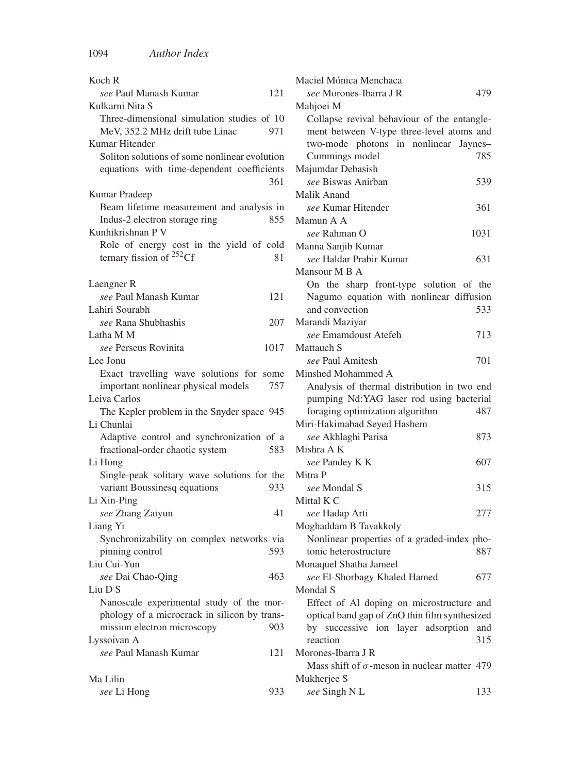| Koch R                                        |      |
|-----------------------------------------------|------|
| see Paul Manash Kumar                         | 121  |
| Kulkarni Nita S                               |      |
| Three-dimensional simulation studies of 10    |      |
| MeV, 352.2 MHz drift tube Linac               | 971  |
| Kumar Hitender                                |      |
| Soliton solutions of some nonlinear evolution |      |
| equations with time-dependent coefficients    |      |
|                                               | 361  |
| Kumar Pradeep                                 |      |
| Beam lifetime measurement and analysis in     |      |
| Indus-2 electron storage ring                 | 855  |
| Kunhikrishnan P V                             |      |
| Role of energy cost in the yield of cold      |      |
| ternary fission of <sup>252</sup> Cf          | 81   |
|                                               |      |
| Laengner R                                    |      |
| see Paul Manash Kumar                         | 121  |
| Lahiri Sourabh                                |      |
| see Rana Shubhashis                           | 207  |
| Latha M M                                     |      |
| see Perseus Rovinita                          | 1017 |
| Lee Jonu                                      |      |
| Exact travelling wave solutions for some      |      |
| important nonlinear physical models           | 757  |
| Leiva Carlos                                  |      |
| The Kepler problem in the Snyder space 945    |      |
| Li Chunlai                                    |      |
| Adaptive control and synchronization of a     |      |
| fractional-order chaotic system               | 583  |
| Li Hong                                       |      |
| Single-peak solitary wave solutions for the   |      |
| variant Boussinesq equations                  | 933  |
| Li Xin-Ping                                   |      |
| see Zhang Zaiyun                              | 41   |
| Liang Yi                                      |      |
| Synchronizability on complex networks via     |      |
| pinning control                               | 593  |
| Liu Cui-Yun                                   |      |
| see Dai Chao-Qing                             | 463  |
| Liu D S                                       |      |
| Nanoscale experimental study of the mor-      |      |
| phology of a microcrack in silicon by trans-  |      |
| mission electron microscopy                   | 903  |
| Lyssoivan A                                   |      |
| see Paul Manash Kumar                         | 121  |
|                                               |      |
| Ma Lilin                                      |      |
| see Li Hong                                   | 933  |
|                                               |      |

| Maciel Mónica Menchaca                              |      |
|-----------------------------------------------------|------|
| see Morones-Ibarra J R                              | 479  |
| Mahjoei M                                           |      |
| Collapse revival behaviour of the entangle-         |      |
| ment between V-type three-level atoms and           |      |
| two-mode photons in nonlinear Jaynes-               |      |
| Cummings model                                      | 785  |
| Majumdar Debasish                                   |      |
| see Biswas Anirban                                  | 539  |
| Malik Anand                                         |      |
| see Kumar Hitender                                  | 361  |
| Mamun A A                                           |      |
| see Rahman O                                        | 1031 |
| Manna Sanjib Kumar                                  |      |
| see Haldar Prabir Kumar                             | 631  |
| Mansour M B A                                       |      |
| On the sharp front-type solution of the             |      |
| Nagumo equation with nonlinear diffusion            |      |
| and convection                                      | 533  |
| Marandi Maziyar                                     |      |
| see Emamdoust Atefeh                                | 713  |
| Mattauch S                                          |      |
| see Paul Amitesh                                    | 701  |
| Minshed Mohammed A                                  |      |
| Analysis of thermal distribution in two end         |      |
| pumping Nd:YAG laser rod using bacterial            |      |
| foraging optimization algorithm                     | 487  |
| Miri-Hakimabad Seyed Hashem                         |      |
| see Akhlaghi Parisa                                 | 873  |
| Mishra A K                                          |      |
| see Pandey K K                                      | 607  |
| Mitra P                                             |      |
|                                                     |      |
| see Mondal S                                        | 315  |
| Mittal K C                                          |      |
| see Hadap Arti                                      | 277  |
| Moghaddam B Tavakkoly                               |      |
| Nonlinear properties of a graded-index pho-         |      |
| tonic heterostructure                               | 887  |
| Monaquel Shatha Jameel                              |      |
| see El-Shorbagy Khaled Hamed                        | 677  |
| Mondal S                                            |      |
| Effect of Al doping on microstructure and           |      |
| optical band gap of ZnO thin film synthesized       |      |
| by successive ion layer adsorption                  | and  |
| reaction                                            | 315  |
| Morones-Ibarra J R                                  |      |
| Mass shift of $\sigma$ -meson in nuclear matter 479 |      |
| Mukherjee S                                         |      |
| see Singh N L                                       | 133  |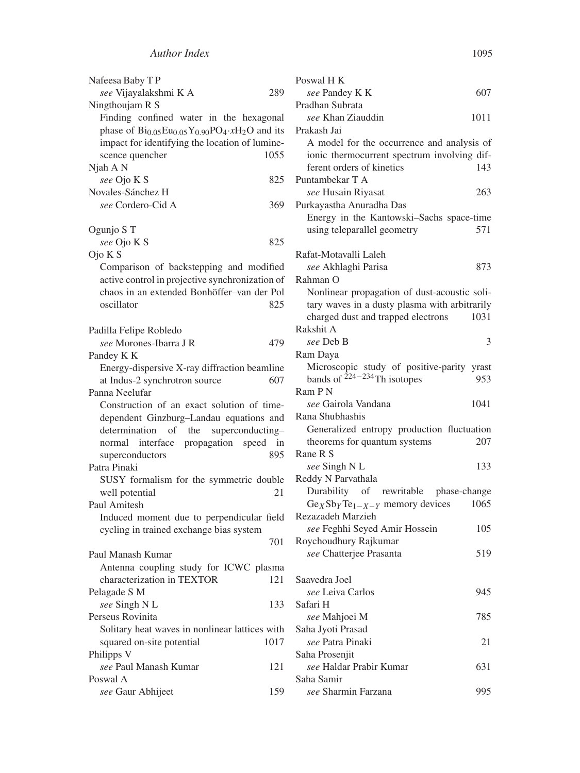| Nafeesa Baby TP                                               | Poswa          |
|---------------------------------------------------------------|----------------|
| see Vijayalakshmi K A<br>289                                  | see            |
| Ningthoujam R S                                               | Pradha         |
| Finding confined water in the hexagonal                       | see            |
| phase of $Bi_{0.05}Eu_{0.05}Y_{0.90}PO_4 \cdot xH_2O$ and its | Prakas         |
| impact for identifying the location of lumine-                | A <sub>n</sub> |
| 1055<br>scence quencher                                       | ioni           |
| Njah A N                                                      | fere           |
| see Ojo K S<br>825                                            | Puntar         |
| Novales-Sánchez H                                             | see            |
| see Cordero-Cid A<br>369                                      | Purkay         |
|                                                               | Ene            |
| Ogunjo S T                                                    | usir           |
| see Ojo K S<br>825                                            |                |
| Ojo K S                                                       | Rafat-l        |
| Comparison of backstepping and modified                       | see            |
| active control in projective synchronization of               | Rahma          |
| chaos in an extended Bonhöffer-van der Pol                    | Nor            |
| oscillator<br>825                                             | tary           |
|                                                               | chai           |
| Padilla Felipe Robledo                                        | Rakshi         |
| see Morones-Ibarra J R<br>479                                 | see            |
| Pandey K K                                                    | Ram D          |
| Energy-dispersive X-ray diffraction beamline                  | Mic            |
| at Indus-2 synchrotron source<br>607                          | ban            |
| Panna Neelufar                                                | Ram P          |
| Construction of an exact solution of time-                    | see            |
| dependent Ginzburg-Landau equations and                       | Rana S         |
| the<br>superconducting-<br>determination<br>of                | Ger            |
| interface<br>propagation<br>speed<br>in<br>normal             | theo           |
| 895<br>superconductors                                        | Rane I         |
| Patra Pinaki                                                  | see            |
| SUSY formalism for the symmetric double                       | Reddy          |
| well potential<br>21                                          | Dur            |
| Paul Amitesh                                                  | Ge y           |
| Induced moment due to perpendicular field                     | Rezaza         |
| cycling in trained exchange bias system                       | see            |
| 701                                                           | Roych          |
| Paul Manash Kumar                                             | see            |
| Antenna coupling study for ICWC plasma                        |                |
| characterization in TEXTOR<br>121                             | Saaved         |
| Pelagade S M                                                  | see            |
| see Singh N L<br>133                                          | Safari         |
| Perseus Rovinita                                              | see            |
| Solitary heat waves in nonlinear lattices with                | Saha J         |
| 1017<br>squared on-site potential                             | see            |
| Philipps V                                                    | Saha F         |
| see Paul Manash Kumar<br>121                                  | see            |
| Poswal A                                                      | Saha S         |
| 159<br>see Gaur Abhijeet                                      | see            |
|                                                               |                |

| Poswal H K                                    |      |
|-----------------------------------------------|------|
| see Pandey K K                                | 607  |
| Pradhan Subrata                               |      |
| see Khan Ziauddin                             | 1011 |
| Prakash Jai                                   |      |
| A model for the occurrence and analysis of    |      |
| ionic thermocurrent spectrum involving dif-   |      |
| ferent orders of kinetics                     | 143  |
| Puntambekar T A                               |      |
| see Husain Riyasat                            | 263  |
| Purkayastha Anuradha Das                      |      |
| Energy in the Kantowski-Sachs space-time      |      |
| using teleparallel geometry                   | 571  |
| Rafat-Motavalli Laleh                         |      |
| see Akhlaghi Parisa                           | 873  |
| Rahman O                                      |      |
| Nonlinear propagation of dust-acoustic soli-  |      |
| tary waves in a dusty plasma with arbitrarily |      |
| charged dust and trapped electrons            | 1031 |
| Rakshit A                                     |      |
| see Deb B                                     | 3    |
| Ram Daya                                      |      |
| Microscopic study of positive-parity yrast    |      |
| bands of $224 - 234$ Th isotopes              | 953  |
| Ram P N                                       |      |
| see Gairola Vandana                           | 1041 |
| Rana Shubhashis                               |      |
| Generalized entropy production fluctuation    |      |
| theorems for quantum systems                  | 207  |
| Rane R S                                      |      |
| see Singh N L                                 | 133  |
| Reddy N Parvathala                            |      |
| Durability of rewritable phase-change         |      |
| $GeySbyTe1-X-Y$ memory devices                | 1065 |
| Rezazadeh Marzieh                             |      |
| see Feghhi Seyed Amir Hossein                 | 105  |
| Roychoudhury Rajkumar                         |      |
| see Chatterjee Prasanta                       | 519  |
| Saavedra Joel                                 |      |
| see Leiva Carlos                              | 945  |
| Safari H                                      |      |
| see Mahjoei M                                 | 785  |
| Saha Jyoti Prasad                             |      |
| see Patra Pinaki                              | 21   |
| Saha Prosenjit                                |      |
| see Haldar Prabir Kumar                       | 631  |
| Saha Samir                                    |      |
| see Sharmin Farzana                           | 995  |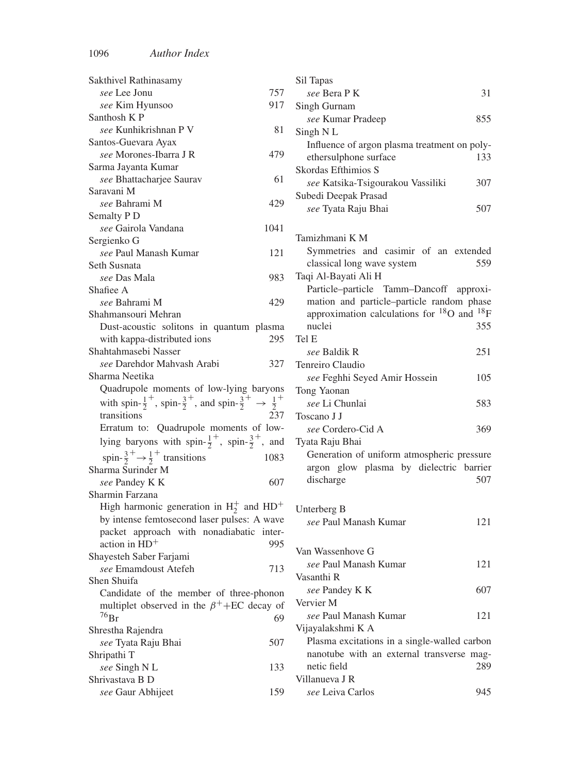| Sakthivel Rathinasamy                                                                                        |      |
|--------------------------------------------------------------------------------------------------------------|------|
| see Lee Jonu                                                                                                 | 757  |
| see Kim Hyunsoo                                                                                              | 917  |
| Santhosh K P                                                                                                 |      |
| see Kunhikrishnan P V                                                                                        | 81   |
| Santos-Guevara Ayax                                                                                          |      |
| see Morones-Ibarra J R                                                                                       | 479  |
| Sarma Jayanta Kumar                                                                                          |      |
| see Bhattacharjee Saurav                                                                                     | 61   |
| Saravani M                                                                                                   |      |
| see Bahrami M                                                                                                | 429  |
| Semalty P <sub>D</sub>                                                                                       |      |
| see Gairola Vandana<br>Sergienko G                                                                           | 1041 |
| see Paul Manash Kumar                                                                                        | 121  |
| Seth Susnata                                                                                                 |      |
| <i>see</i> Das Mala                                                                                          | 983  |
| Shafiee A                                                                                                    |      |
| see Bahrami M                                                                                                | 429  |
| Shahmansouri Mehran                                                                                          |      |
| Dust-acoustic solitons in quantum plasma                                                                     |      |
| with kappa-distributed ions                                                                                  | 295  |
| Shahtahmasebi Nasser                                                                                         |      |
| see Darehdor Mahvash Arabi                                                                                   | 327  |
| Sharma Neetika                                                                                               |      |
| Quadrupole moments of low-lying baryons                                                                      |      |
| with spin- $\frac{1}{2}^+$ , spin- $\frac{3}{2}^+$ , and spin- $\frac{3}{2}^+$ $\rightarrow$ $\frac{1}{2}^+$ |      |
| transitions                                                                                                  | 237  |
| Erratum to: Quadrupole moments of low-                                                                       |      |
| lying baryons with spin- $\frac{1}{2}^+$ , spin- $\frac{3}{2}^+$ , and                                       |      |
| spin- $\frac{3}{2}^+$ $\rightarrow \frac{1}{2}^+$ transitions                                                | 1083 |
| Sharma Surinder M                                                                                            |      |
| see Pandey K K                                                                                               | 607  |
| Sharmin Farzana                                                                                              |      |
| High harmonic generation in $H_2^+$ and $HD^+$                                                               |      |
| by intense femtosecond laser pulses: A wave                                                                  |      |
| packet approach with nonadiabatic inter-                                                                     |      |
| action in $HD+$                                                                                              | 995  |
| Shayesteh Saber Farjami<br>see Emamdoust Atefeh                                                              | 713  |
| Shen Shuifa                                                                                                  |      |
| Candidate of the member of three-phonon                                                                      |      |
| multiplet observed in the $\beta^+$ +EC decay of                                                             |      |
| $^{76}Br$                                                                                                    | 69   |
| Shrestha Rajendra                                                                                            |      |
| see Tyata Raju Bhai                                                                                          | 507  |
| Shripathi T                                                                                                  |      |
| see Singh N L                                                                                                | 133  |
| Shrivastava B D                                                                                              |      |
| see Gaur Abhijeet                                                                                            | 159  |

| Sil Tapas                                                                             |     |
|---------------------------------------------------------------------------------------|-----|
| see Bera PK                                                                           | 31  |
| Singh Gurnam                                                                          |     |
| see Kumar Pradeep                                                                     | 855 |
| Singh NL                                                                              |     |
| Influence of argon plasma treatment on poly-                                          |     |
| ethersulphone surface                                                                 | 133 |
| Skordas Efthimios S                                                                   |     |
| see Katsika-Tsigourakou Vassiliki                                                     | 307 |
| Subedi Deepak Prasad                                                                  |     |
| see Tyata Raju Bhai                                                                   | 507 |
| Tamizhmani K M                                                                        |     |
| Symmetries and casimir of an extended                                                 |     |
| classical long wave system                                                            | 559 |
| Taqi Al-Bayati Ali H                                                                  |     |
| Particle-particle Tamm-Dancoff approxi-                                               |     |
| mation and particle-particle random phase                                             |     |
| approximation calculations for <sup>18</sup> O and <sup>18</sup> F                    |     |
| nuclei                                                                                | 355 |
| Tel E                                                                                 |     |
| see Baldik R                                                                          | 251 |
| Tenreiro Claudio                                                                      |     |
| see Feghhi Seyed Amir Hossein                                                         | 105 |
| Tong Yaonan                                                                           |     |
| see Li Chunlai                                                                        | 583 |
| Toscano J J                                                                           |     |
| see Cordero-Cid A                                                                     | 369 |
| Tyata Raju Bhai                                                                       |     |
| Generation of uniform atmospheric pressure<br>argon glow plasma by dielectric barrier |     |
| discharge                                                                             | 507 |
|                                                                                       |     |
| Unterberg B                                                                           |     |
| see Paul Manash Kumar                                                                 | 121 |
|                                                                                       |     |
| Van Wassenhove G                                                                      |     |
| see Paul Manash Kumar                                                                 | 121 |
| Vasanthi R                                                                            |     |
| see Pandey K K                                                                        | 607 |
| Vervier M                                                                             |     |
| see Paul Manash Kumar                                                                 | 121 |
| Vijayalakshmi K A                                                                     |     |
| Plasma excitations in a single-walled carbon                                          |     |
| nanotube with an external transverse mag-                                             |     |
| netic field                                                                           | 289 |
| Villanueva J R                                                                        |     |
| see Leiva Carlos                                                                      | 945 |